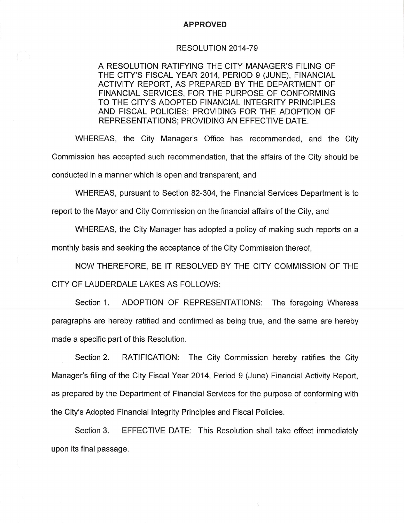## **APPROVED**

## RESOLUTION 2014-79

A RESOLUTION RATIFYING THE CITY MANAGER'S FILING OF THE CITY'S FISCAL YEAR 2014, PERIOD 9 (JUNE), FINANCIAL ACTIVITY REPORT, AS PREPARED BY THE DEPARTMENT OF FINANCIAL SERVICES, FOR THE PURPOSE OF CONFORMING TO THE CITY'S ADOPTED FINANCIAL INTEGRITY PRINCIPLES AND FISCAL POLICIES; PROVIDING FOR THE ADOPTION OF REPRESENTATIONS: PROVIDING AN EFFECTIVE DATE.

WHEREAS, the City Manager's Office has recommended, and the City Commission has accepted such recommendation, that the affairs of the City should be conducted in a manner which is open and transparent, and

WHEREAS, pursuant to Section 82-304, the Financial Services Department is to

report to the Mayor and City Commission on the financial affairs of the City, and

WHEREAS, the City Manager has adopted a policy of making such reports on a

monthly basis and seeking the acceptance of the City Commission thereof.

NOW THEREFORE, BE IT RESOLVED BY THE CITY COMMISSION OF THE CITY OF LAUDERDALE LAKES AS FOLLOWS:

Section 1. ADOPTION OF REPRESENTATIONS: The foregoing Whereas paragraphs are hereby ratified and confirmed as being true, and the same are hereby made a specific part of this Resolution.

Section 2. RATIFICATION: The City Commission hereby ratifies the City Manager's filing of the City Fiscal Year 2014, Period 9 (June) Financial Activity Report, as prepared by the Department of Financial Services for the purpose of conforming with the City's Adopted Financial Integrity Principles and Fiscal Policies.

Section 3. EFFECTIVE DATE: This Resolution shall take effect immediately upon its final passage.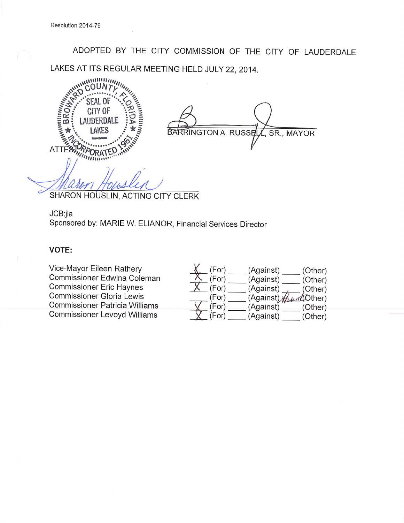ADOPTED BY THE CITY COMMISSION OF THE CITY OF LAUDERDALE LAKES AT ITS REGULAR MEETING HELD JULY 22, 2014.



**KRRINGTON A. RUSSEL** SR., MAYOR

SHARON HOUSLIN, ACTING CITY CLERK

JCB:jla Sponsored by: MARIE W. ELIANOR, Financial Services Director

## **VOTE:**

Vice-Mayor Eileen Rathery Commissioner Edwina Coleman **Commissioner Eric Haynes Commissioner Gloria Lewis Commissioner Patricia Williams Commissioner Levoyd Williams** 

| (For) | (Against)                       | (Other) |
|-------|---------------------------------|---------|
| (For) | (Against)                       | (Other) |
| (For) | (Against)                       | (Other) |
| (For) | (Against) <i>the at</i> (Other) |         |
| (For) | (Against)                       | (Other) |
| (For) | (Against)                       | (Other) |